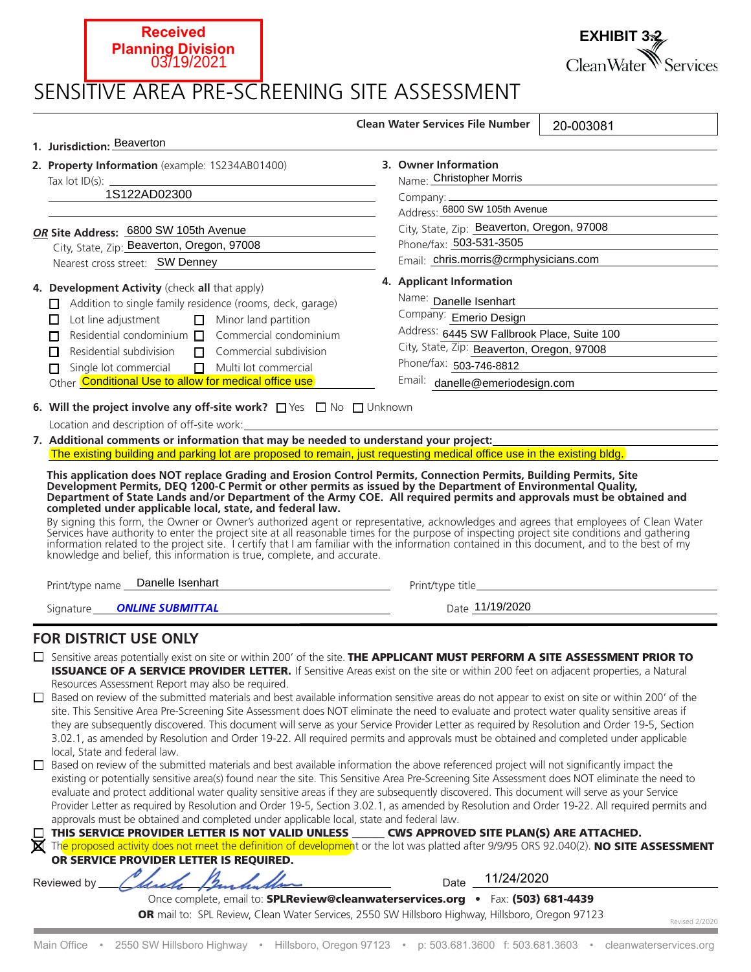| 03719/2021                                                                                                                                                                                                                                                                                                                                                                                                                                                                                         | CleanWater <sup>W</sup> Services                                                                                                                                                                                                        |  |
|----------------------------------------------------------------------------------------------------------------------------------------------------------------------------------------------------------------------------------------------------------------------------------------------------------------------------------------------------------------------------------------------------------------------------------------------------------------------------------------------------|-----------------------------------------------------------------------------------------------------------------------------------------------------------------------------------------------------------------------------------------|--|
| SENSITIVE AREA PRE-SCREENING SITE ASSESSMENT                                                                                                                                                                                                                                                                                                                                                                                                                                                       |                                                                                                                                                                                                                                         |  |
|                                                                                                                                                                                                                                                                                                                                                                                                                                                                                                    | <b>Clean Water Services File Number</b><br>20-003081                                                                                                                                                                                    |  |
| 1. Jurisdiction: Beaverton                                                                                                                                                                                                                                                                                                                                                                                                                                                                         |                                                                                                                                                                                                                                         |  |
| 2. Property Information (example: 1S234AB01400)<br><u> 1989 - Johann Barn, amerikansk politiker (d. 1989)</u><br>1S122AD02300                                                                                                                                                                                                                                                                                                                                                                      | 3. Owner Information<br>Name: Christopher Morris<br><u> 1989 - Johann Barn, amerikansk politiker (</u><br>Address: 6800 SW 105th Avenue                                                                                                 |  |
| OR Site Address: 6800 SW 105th Avenue<br>the control of the control of the control of<br>City, State, Zip: Beaverton, Oregon, 97008<br>Nearest cross street: SW Denney                                                                                                                                                                                                                                                                                                                             | City, State, Zip: Beaverton, Oregon, 97008<br>Phone/fax: 503-531-3505<br>Email: chris.morris@crmphysicians.com                                                                                                                          |  |
| 4. Development Activity (check all that apply)<br>$\Box$ Addition to single family residence (rooms, deck, garage)<br>$\Box$ Minor land partition<br>Lot line adjustment<br>П<br>Residential condominium $\Box$<br>Commercial condominium<br>п<br>Residential subdivision<br>Commercial subdivision<br>п<br>П.<br>Single lot commercial<br>$\Box$ Multi lot commercial<br>п<br>Other Conditional Use to allow for medical office use                                                               | 4. Applicant Information<br>Name: Danelle Isenhart<br>Company: Emerio Design<br>Address: 6445 SW Fallbrook Place, Suite 100<br>City, State, Zip: Beaverton, Oregon, 97008<br>Phone/fax: 503-746-8812<br>Email: danelle@emeriodesign.com |  |
| 6. Will the project involve any off-site work? $\Box$ Yes $\Box$ No $\Box$ Unknown                                                                                                                                                                                                                                                                                                                                                                                                                 |                                                                                                                                                                                                                                         |  |
| Location and description of off-site work:                                                                                                                                                                                                                                                                                                                                                                                                                                                         |                                                                                                                                                                                                                                         |  |
|                                                                                                                                                                                                                                                                                                                                                                                                                                                                                                    | 7. Additional comments or information that may be needed to understand your project:<br>The existing building and parking lot are proposed to remain, just requesting medical office use in the existing bldg.                          |  |
| This application does NOT replace Grading and Erosion Control Permits, Connection Permits, Building Permits, Site<br>Development Permits, DEQ 1200-C Permit or other permits as issued by the Department of Environmental Quality,<br>Department of State Lands and/or Department of the Army COE. All required permits and approvals must be obtained and<br>completed under applicable local, state, and federal law.<br>knowledge and belief, this information is true, complete, and accurate. | By signing this form, the Owner or Owner's authorized agent or representative, acknowledges and agrees that employees of Clean Water Services have authority to enter the project site at all reasonable times for the purpose          |  |
| Print/type name __ Danelle Isenhart<br><u> 1989 - Johann Barn, mars ann an t-Amhair ann an t-A</u>                                                                                                                                                                                                                                                                                                                                                                                                 |                                                                                                                                                                                                                                         |  |
| Signature <b>ONLINE SUBMITTAL</b><br><u>and the company of the company of the company of the company of the company of the company of the company of the company of the company of the company of the company of the company of the company of the company of the com</u>                                                                                                                                                                                                                          | Date 11/19/2020                                                                                                                                                                                                                         |  |
| <b>FOR DISTRICT USE ONLY</b>                                                                                                                                                                                                                                                                                                                                                                                                                                                                       |                                                                                                                                                                                                                                         |  |

 $\Box$  Sensitive areas potentially exist on site or within 200' of the site. **THE APPLICANT MUST PERFORM A SITE ASSESSMENT PRIOR TO ISSUANCE OF A SERVICE PROVIDER LETTER.** If Sensitive Areas exist on the site or within 200 feet on adjacent properties, a Natural Resources Assessment Report may also be required.

□ Based on review of the submitted materials and best available information sensitive areas do not appear to exist on site or within 200' of the site. This Sensitive Area Pre-Screening Site Assessment does NOT eliminate the need to evaluate and protect water quality sensitive areas if they are subsequently discovered. This document will serve as your Service Provider Letter as required by Resolution and Order 19-5, Section 3.02.1, as amended by Resolution and Order 19-22. All required permits and approvals must be obtained and completed under applicable local. State and federal law.

□ Based on review of the submitted materials and best available information the above referenced project will not significantly impact the existing or potentially sensitive area(s) found near the site. This Sensitive Area Pre-Screening Site Assessment does NOT eliminate the need to evaluate and protect additional water quality sensitive areas if they are subsequently discovered. This document will serve as your Service Provider Letter as required by Resolution and Order 19-5, Section 3.02.1, as amended by Resolution and Order 19-22. All required permits and approvals must be obtained and completed under applicable local, state and federal law.

| $\Box$ THIS SERVICE PROVIDER LETTER IS NOT VALID UNLESS | <b>CWS APPROVED SITE PLAN(S) ARE ATTACHED.</b>                                                                                                                                                                                       |
|---------------------------------------------------------|--------------------------------------------------------------------------------------------------------------------------------------------------------------------------------------------------------------------------------------|
| ₩.                                                      | <u>. I distribution of the state of the state of the state of the state of the state of the state of the state of the state of the state of the state of the state of the state of the state of the state of the state of the st</u> |

The proposed activity does not meet the definition of development or the lot was platted after 9/9/95 ORS 92.040(2). NO SITE ASSESSMENT OR SERVICE PROVIDER LETTER IS REOUIRED.

Reviewed by Uncle Pandudum

**Received**

**Planning Division**

11/24/2020

Revised 2/2020

**EXHIBIT 3.2**

Once complete, email to: SPLReview@cleanwaterservices.org •Fax: (503) 681-4439 OR mail to: SPL Review, Clean Water Services, 2550 SW Hillsboro Highway, Hillsboro, Oregon 97123